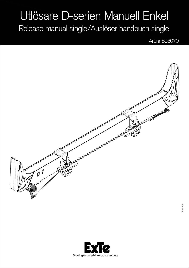## Utlösare D-serien Manuell Enkel

Release manual single/Auslöser handbuch single

Art.nr 803070